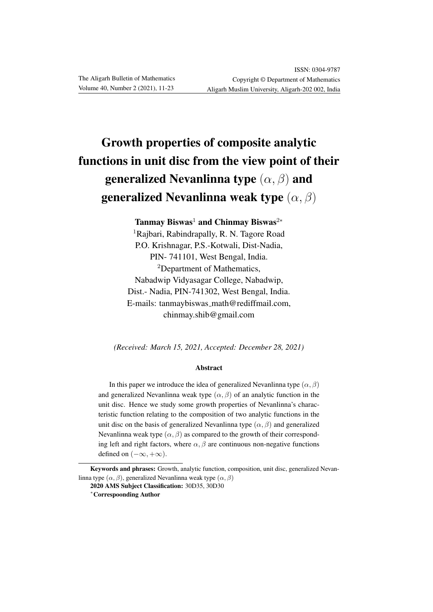# Growth properties of composite analytic functions in unit disc from the view point of their generalized Nevanlinna type  $(\alpha, \beta)$  and generalized Nevanlinna weak type  $(\alpha, \beta)$

Tanmay Biswas<sup>1</sup> and Chinmay Biswas<sup>2\*</sup> <sup>1</sup>Rajbari, Rabindrapally, R. N. Tagore Road P.O. Krishnagar, P.S.-Kotwali, Dist-Nadia, PIN- 741101, West Bengal, India. <sup>2</sup>Department of Mathematics, Nabadwip Vidyasagar College, Nabadwip, Dist.- Nadia, PIN-741302, West Bengal, India. E-mails: tanmaybiswas math@rediffmail.com, chinmay.shib@gmail.com

*(Received: March 15, 2021, Accepted: December 28, 2021)*

#### Abstract

In this paper we introduce the idea of generalized Nevanlinna type  $(\alpha, \beta)$ and generalized Nevanlinna weak type  $(\alpha, \beta)$  of an analytic function in the unit disc. Hence we study some growth properties of Nevanlinna's characteristic function relating to the composition of two analytic functions in the unit disc on the basis of generalized Nevanlinna type  $(\alpha, \beta)$  and generalized Nevanlinna weak type  $(\alpha, \beta)$  as compared to the growth of their corresponding left and right factors, where  $\alpha$ ,  $\beta$  are continuous non-negative functions defined on  $(-\infty, +\infty)$ .

Keywords and phrases: Growth, analytic function, composition, unit disc, generalized Nevanlinna type  $(\alpha, \beta)$ , generalized Nevanlinna weak type  $(\alpha, \beta)$ 

<sup>2020</sup> AMS Subject Classification: 30D35, 30D30 <sup>∗</sup>Correspoonding Author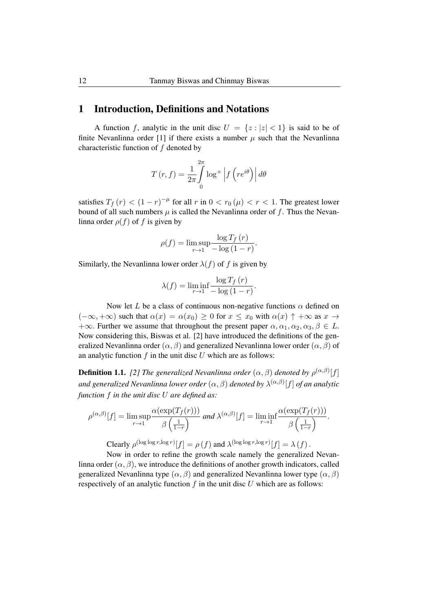## 1 Introduction, Definitions and Notations

A function f, analytic in the unit disc  $U = \{z : |z| < 1\}$  is said to be of finite Nevanlinna order [1] if there exists a number  $\mu$  such that the Nevanlinna characteristic function of f denoted by

$$
T(r, f) = \frac{1}{2\pi} \int_{0}^{2\pi} \log^{+} \left| f\left(re^{i\theta}\right) \right| d\theta
$$

satisfies  $T_f(r) < (1 - r)^{-\mu}$  for all r in  $0 < r_0(\mu) < r < 1$ . The greatest lower bound of all such numbers  $\mu$  is called the Nevanlinna order of f. Thus the Nevanlinna order  $\rho(f)$  of f is given by

$$
\rho(f) = \limsup_{r \to 1} \frac{\log T_f(r)}{-\log(1-r)}.
$$

Similarly, the Nevanlinna lower order  $\lambda(f)$  of f is given by

$$
\lambda(f) = \liminf_{r \to 1} \frac{\log T_f(r)}{-\log(1-r)}.
$$

Now let L be a class of continuous non-negative functions  $\alpha$  defined on  $(-\infty, +\infty)$  such that  $\alpha(x) = \alpha(x_0) \geq 0$  for  $x \leq x_0$  with  $\alpha(x) \uparrow +\infty$  as  $x \to$  $+\infty$ . Further we assume that throughout the present paper  $\alpha, \alpha_1, \alpha_2, \alpha_3, \beta \in L$ . Now considering this, Biswas et al. [2] have introduced the definitions of the generalized Nevanlinna order  $(\alpha, \beta)$  and generalized Nevanlinna lower order  $(\alpha, \beta)$  of an analytic function  $f$  in the unit disc  $U$  which are as follows:

**Definition 1.1.** [2] The generalized Nevanlinna order  $(\alpha, \beta)$  denoted by  $\rho^{(\alpha,\beta)}[f]$ *and generalized Nevanlinna lower order* (α, β) *denoted by* λ (α,β) [f] *of an analytic function* f *in the unit disc* U *are defined as:*

$$
\rho^{(\alpha,\beta)}[f] = \limsup_{r \to 1} \frac{\alpha(\exp(T_f(r)))}{\beta(\frac{1}{1-r})} \text{ and } \lambda^{(\alpha,\beta)}[f] = \liminf_{r \to 1} \frac{\alpha(\exp(T_f(r)))}{\beta(\frac{1}{1-r})}.
$$

Clearly  $\rho^{(\log \log r, \log r)}[f] = \rho(f)$  and  $\lambda^{(\log \log r, \log r)}[f] = \lambda(f)$ .

Now in order to refine the growth scale namely the generalized Nevanlinna order  $(\alpha, \beta)$ , we introduce the definitions of another growth indicators, called generalized Nevanlinna type  $(\alpha, \beta)$  and generalized Nevanlinna lower type  $(\alpha, \beta)$ respectively of an analytic function  $f$  in the unit disc  $U$  which are as follows: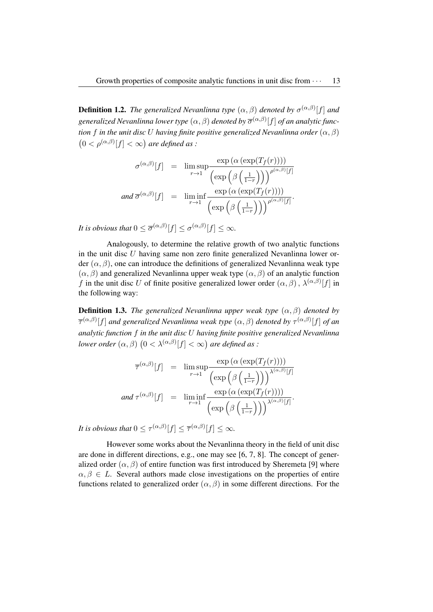**Definition 1.2.** The generalized Nevanlinna type  $(\alpha, \beta)$  denoted by  $\sigma^{(\alpha,\beta)}[f]$  and generalized Nevanlinna lower type  $(\alpha, \beta)$  denoted by  $\overline{\sigma}^{(\alpha, \beta)}[f]$  of an analytic func*tion* f *in the unit disc* U *having finite positive generalized Nevanlinna order*  $(\alpha, \beta)$  $(0 < \rho^{(\alpha,\beta)}[f] < \infty)$  are defined as :

$$
\sigma^{(\alpha,\beta)}[f] = \limsup_{r \to 1} \frac{\exp(\alpha(\exp(T_f(r))))}{\left(\exp\left(\beta\left(\frac{1}{1-r}\right)\right)\right)^{\rho^{(\alpha,\beta)}[f]}}
$$
  
and  $\overline{\sigma}^{(\alpha,\beta)}[f] = \liminf_{r \to 1} \frac{\exp(\alpha(\exp(T_f(r))))}{\left(\exp\left(\beta\left(\frac{1}{1-r}\right)\right)\right)^{\rho^{(\alpha,\beta)}[f]}}.$ 

*It is obvious that*  $0 \le \overline{\sigma}^{(\alpha,\beta)}[f] \le \sigma^{(\alpha,\beta)}[f] \le \infty$ .

Analogously, to determine the relative growth of two analytic functions in the unit disc  $U$  having same non zero finite generalized Nevanlinna lower order  $(\alpha, \beta)$ , one can introduce the definitions of generalized Nevanlinna weak type  $(\alpha, \beta)$  and generalized Nevanlinna upper weak type  $(\alpha, \beta)$  of an analytic function f in the unit disc U of finite positive generalized lower order  $(\alpha, \beta)$ ,  $\lambda^{(\alpha, \beta)}[f]$  in the following way:

**Definition 1.3.** *The generalized Nevanlinna upper weak type*  $(\alpha, \beta)$  *denoted by*  $\overline{\tau}^{(\alpha,\beta)}[f]$  and generalized Nevanlinna weak type  $(\alpha,\beta)$  denoted by  $\tau^{(\alpha,\beta)}[f]$  of an *analytic function* f *in the unit disc* U *having finite positive generalized Nevanlinna lower order*  $(\alpha, \beta)$   $(0 < \lambda^{(\alpha, \beta)}[f] < \infty)$  are defined as :

$$
\overline{\tau}^{(\alpha,\beta)}[f] = \limsup_{r \to 1} \frac{\exp(\alpha(\exp(T_f(r))))}{(\exp(\beta(\frac{1}{1-r})))^{\lambda^{(\alpha,\beta)}[f]}}
$$
  
and  $\tau^{(\alpha,\beta)}[f] = \liminf_{r \to 1} \frac{\exp(\alpha(\exp(T_f(r))))}{(\exp(\beta(\frac{1}{1-r})))^{\lambda^{(\alpha,\beta)}[f]}}.$ 

*It is obvious that*  $0 \le \tau^{(\alpha,\beta)}[f] \le \overline{\tau}^{(\alpha,\beta)}[f] \le \infty$ *.* 

However some works about the Nevanlinna theory in the field of unit disc are done in different directions, e.g., one may see [6, 7, 8]. The concept of generalized order  $(\alpha, \beta)$  of entire function was first introduced by Sheremeta [9] where  $\alpha, \beta \in L$ . Several authors made close investigations on the properties of entire functions related to generalized order  $(\alpha, \beta)$  in some different directions. For the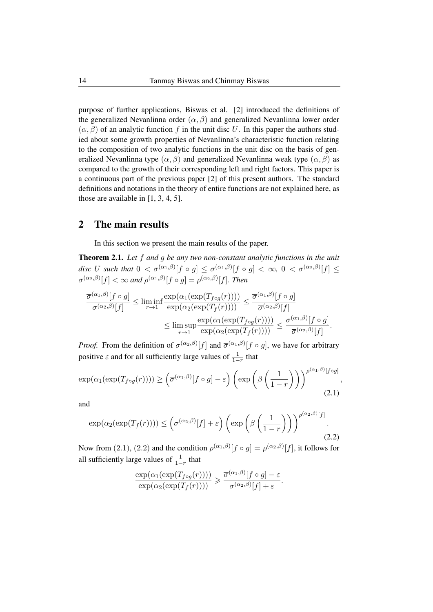purpose of further applications, Biswas et al. [2] introduced the definitions of the generalized Nevanlinna order  $(\alpha, \beta)$  and generalized Nevanlinna lower order  $(\alpha, \beta)$  of an analytic function f in the unit disc U. In this paper the authors studied about some growth properties of Nevanlinna's characteristic function relating to the composition of two analytic functions in the unit disc on the basis of generalized Nevanlinna type  $(\alpha, \beta)$  and generalized Nevanlinna weak type  $(\alpha, \beta)$  as compared to the growth of their corresponding left and right factors. This paper is a continuous part of the previous paper [2] of this present authors. The standard definitions and notations in the theory of entire functions are not explained here, as those are available in [1, 3, 4, 5].

### 2 The main results

In this section we present the main results of the paper.

Theorem 2.1. *Let* f *and* g *be any two non-constant analytic functions in the unit*  $disc$   $U$   $such$   $that$   $0 < \overline{\sigma}^{(\alpha_1, \beta)}[f \circ g] \leq \sigma^{(\alpha_1, \beta)}[f \circ g] < \infty,$   $0 < \overline{\sigma}^{(\alpha_2, \beta)}[f] \leq$  $\sigma^{(\alpha_2,\beta)}[f] < \infty$  and  $\rho^{(\alpha_1,\beta)}[f \circ g] = \rho^{(\alpha_2,\beta)}[f]$ . Then

$$
\frac{\overline{\sigma}^{(\alpha_1,\beta)}[f\circ g]}{\sigma^{(\alpha_2,\beta)}[f]} \le \liminf_{r\to 1} \frac{\exp(\alpha_1(\exp(T_{f\circ g}(r))))}{\exp(\alpha_2(\exp(T_f(r))))} \le \frac{\overline{\sigma}^{(\alpha_1,\beta)}[f\circ g]}{\overline{\sigma}^{(\alpha_2,\beta)}[f]} \le \limsup_{r\to 1} \frac{\exp(\alpha_1(\exp(T_{f\circ g}(r))))}{\exp(\alpha_2(\exp(T_f(r))))} \le \frac{\sigma^{(\alpha_1,\beta)}[f\circ g]}{\overline{\sigma}^{(\alpha_2,\beta)}[f]}.
$$

*Proof.* From the definition of  $\sigma^{(\alpha_2,\beta)}[f]$  and  $\overline{\sigma}^{(\alpha_1,\beta)}[f \circ g]$ , we have for arbitrary positive  $\varepsilon$  and for all sufficiently large values of  $\frac{1}{1-r}$  that

$$
\exp(\alpha_1(\exp(T_{f\circ g}(r)))) \geq \left(\overline{\sigma}^{(\alpha_1,\beta)}[f\circ g] - \varepsilon\right) \left(\exp\left(\beta\left(\frac{1}{1-r}\right)\right)\right)^{\rho^{(\alpha_1,\beta)}[f\circ g]},\tag{2.1}
$$

and

$$
\exp(\alpha_2(\exp(T_f(r)))) \leq \left(\sigma^{(\alpha_2,\beta)}[f] + \varepsilon\right) \left(\exp\left(\beta\left(\frac{1}{1-r}\right)\right)\right)^{\rho^{(\alpha_2,\beta)}[f]}.
$$
\n(2.2)

Now from (2.1), (2.2) and the condition  $\rho^{(\alpha_1,\beta)}[f\circ g] = \rho^{(\alpha_2,\beta)}[f]$ , it follows for all sufficiently large values of  $\frac{1}{1-r}$  that

$$
\frac{\exp(\alpha_1(\exp(T_{f \circ g}(r))))}{\exp(\alpha_2(\exp(T_f(r))))} \geq \frac{\overline{\sigma}^{(\alpha_1,\beta)}[f \circ g] - \varepsilon}{\sigma^{(\alpha_2,\beta)}[f] + \varepsilon}.
$$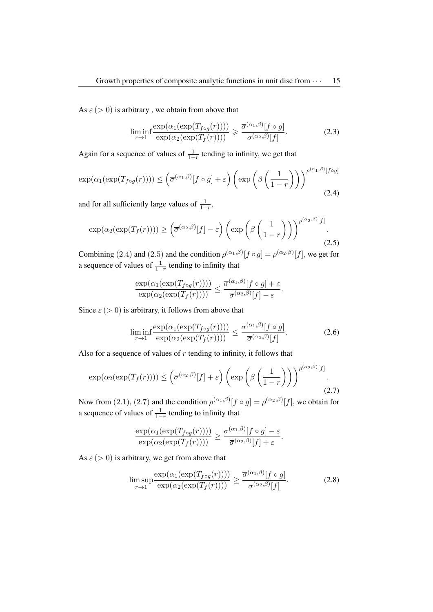As  $\varepsilon$  (> 0) is arbitrary, we obtain from above that

$$
\liminf_{r \to 1} \frac{\exp(\alpha_1(\exp(T_{f \circ g}(r))))}{\exp(\alpha_2(\exp(T_f(r))))} \geq \frac{\overline{\sigma}^{(\alpha_1, \beta)}[f \circ g]}{\sigma^{(\alpha_2, \beta)}[f]}.
$$
\n(2.3)

Again for a sequence of values of  $\frac{1}{1-r}$  tending to infinity, we get that

$$
\exp(\alpha_1(\exp(T_{f \circ g}(r)))) \leq \left(\overline{\sigma}^{(\alpha_1, \beta)}[f \circ g] + \varepsilon\right) \left(\exp\left(\beta\left(\frac{1}{1-r}\right)\right)\right)^{\rho^{(\alpha_1, \beta)}[f \circ g]}
$$
\n(2.4)

and for all sufficiently large values of  $\frac{1}{1-r}$ ,

$$
\exp(\alpha_2(\exp(T_f(r)))) \geq \left(\overline{\sigma}^{(\alpha_2,\beta)}[f] - \varepsilon\right) \left(\exp\left(\beta\left(\frac{1}{1-r}\right)\right)\right)^{\rho^{(\alpha_2,\beta)}[f]}.\tag{2.5}
$$

Combining (2.4) and (2.5) and the condition  $\rho^{(\alpha_1,\beta)}[f\circ g] = \rho^{(\alpha_2,\beta)}[f]$ , we get for a sequence of values of  $\frac{1}{1-r}$  tending to infinity that

$$
\frac{\exp(\alpha_1(\exp(T_{f\circ g}(r))))}{\exp(\alpha_2(\exp(T_f(r))))} \leq \frac{\overline{\sigma}^{(\alpha_1,\beta)}[f\circ g]+\varepsilon}{\overline{\sigma}^{(\alpha_2,\beta)}[f]-\varepsilon}.
$$

Since  $\varepsilon$  (> 0) is arbitrary, it follows from above that

$$
\liminf_{r \to 1} \frac{\exp(\alpha_1(\exp(T_{f \circ g}(r))))}{\exp(\alpha_2(\exp(T_f(r))))} \le \frac{\overline{\sigma}^{(\alpha_1, \beta)}[f \circ g]}{\overline{\sigma}^{(\alpha_2, \beta)}[f]}.
$$
\n(2.6)

Also for a sequence of values of  $r$  tending to infinity, it follows that

$$
\exp(\alpha_2(\exp(T_f(r)))) \leq \left(\overline{\sigma}^{(\alpha_2,\beta)}[f] + \varepsilon\right) \left(\exp\left(\beta\left(\frac{1}{1-r}\right)\right)\right)^{\rho^{(\alpha_2,\beta)}[f]}.\tag{2.7}
$$

Now from (2.1), (2.7) and the condition  $\rho^{(\alpha_1,\beta)}[f\circ g] = \rho^{(\alpha_2,\beta)}[f]$ , we obtain for a sequence of values of  $\frac{1}{1-r}$  tending to infinity that

$$
\frac{\exp(\alpha_1(\exp(T_{f\circ g}(r))))}{\exp(\alpha_2(\exp(T_f(r))))} \geq \frac{\overline{\sigma}^{(\alpha_1,\beta)}[f\circ g]-\varepsilon}{\overline{\sigma}^{(\alpha_2,\beta)}[f]+\varepsilon}.
$$

As  $\varepsilon$  ( $>$  0) is arbitrary, we get from above that

$$
\limsup_{r \to 1} \frac{\exp(\alpha_1(\exp(T_{f \circ g}(r))))}{\exp(\alpha_2(\exp(T_f(r))))} \ge \frac{\overline{\sigma}^{(\alpha_1, \beta)}[f \circ g]}{\overline{\sigma}^{(\alpha_2, \beta)}[f]}.
$$
\n(2.8)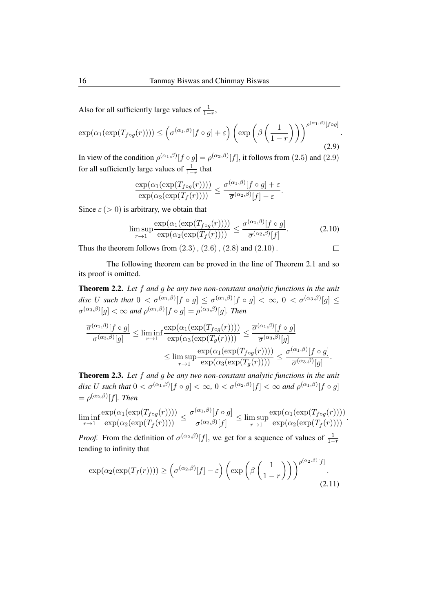Also for all sufficiently large values of  $\frac{1}{1-r}$ ,

$$
\exp(\alpha_1(\exp(T_{f\circ g}(r)))) \leq \left(\sigma^{(\alpha_1,\beta)}[f\circ g] + \varepsilon\right) \left(\exp\left(\beta\left(\frac{1}{1-r}\right)\right)\right)^{\rho^{(\alpha_1,\beta)}[f\circ g]}.
$$
\n(2.9)

In view of the condition  $\rho^{(\alpha_1,\beta)}[f\circ g] = \rho^{(\alpha_2,\beta)}[f]$ , it follows from (2.5) and (2.9) for all sufficiently large values of  $\frac{1}{1-r}$  that

$$
\frac{\exp(\alpha_1(\exp(T_{f\circ g}(r))))}{\exp(\alpha_2(\exp(T_f(r))))} \leq \frac{\sigma^{(\alpha_1,\beta)}[f\circ g]+\varepsilon}{\overline{\sigma}^{(\alpha_2,\beta)}[f]-\varepsilon}.
$$

Since  $\varepsilon$  ( $>$  0) is arbitrary, we obtain that

$$
\limsup_{r \to 1} \frac{\exp(\alpha_1(\exp(T_{f \circ g}(r))))}{\exp(\alpha_2(\exp(T_f(r))))} \le \frac{\sigma^{(\alpha_1, \beta)}[f \circ g]}{\overline{\sigma}^{(\alpha_2, \beta)}[f]}.
$$
\n(2.10)

 $\Box$ 

Thus the theorem follows from  $(2.3)$ ,  $(2.6)$ ,  $(2.8)$  and  $(2.10)$ .

The following theorem can be proved in the line of Theorem 2.1 and so its proof is omitted.

Theorem 2.2. *Let* f *and* g *be any two non-constant analytic functions in the unit*  $disc$   $U$   $such$   $that$   $0 < \overline{\sigma}^{(\alpha_1, \beta)}[f \circ g] \leq \sigma^{(\alpha_1, \beta)}[f \circ g] < \infty$ ,  $0 < \overline{\sigma}^{(\alpha_3, \beta)}[g] \leq$  $\sigma^{(\alpha_3,\beta)}[g]<\infty$  and  $\rho^{(\alpha_1,\beta)}[f\circ g]=\rho^{(\alpha_3,\beta)}[g]$ . Then

$$
\frac{\overline{\sigma}^{(\alpha_1,\beta)}[f\circ g]}{\sigma^{(\alpha_3,\beta)}[g]} \le \liminf_{r\to 1} \frac{\exp(\alpha_1(\exp(T_{f\circ g}(r))))}{\exp(\alpha_3(\exp(T_g(r))))} \le \frac{\overline{\sigma}^{(\alpha_1,\beta)}[f\circ g]}{\overline{\sigma}^{(\alpha_3,\beta)}[g]} \le \limsup_{r\to 1} \frac{\exp(\alpha_1(\exp(T_{f\circ g}(r))))}{\exp(\alpha_3(\exp(T_g(r))))} \le \frac{\sigma^{(\alpha_1,\beta)}[f\circ g]}{\overline{\sigma}^{(\alpha_3,\beta)}[g]}.
$$

Theorem 2.3. *Let* f *and* g *be any two non-constant analytic functions in the unit* disc U such that  $0 < \sigma^{(\alpha_1, \beta)}[f \circ g] < \infty$ ,  $0 < \sigma^{(\alpha_2, \beta)}[f] < \infty$  and  $\rho^{(\alpha_1, \beta)}[f \circ g]$  $= \rho^{(\alpha_2,\beta)}[f]$ *. Then* 

$$
\liminf_{r\to 1}\frac{\exp(\alpha_1(\exp(T_{f\circ g}(r))))}{\exp(\alpha_2(\exp(T_f(r))))}\leq \frac{\sigma^{(\alpha_1,\beta)}[f\circ g]}{\sigma^{(\alpha_2,\beta)}[f]}\leq \limsup_{r\to 1}\frac{\exp(\alpha_1(\exp(T_{f\circ g}(r))))}{\exp(\alpha_2(\exp(T_f(r))))}.
$$

*Proof.* From the definition of  $\sigma^{(\alpha_2,\beta)}[f]$ , we get for a sequence of values of  $\frac{1}{1-r}$ tending to infinity that

$$
\exp(\alpha_2(\exp(T_f(r)))) \geq \left(\sigma^{(\alpha_2,\beta)}[f] - \varepsilon\right) \left(\exp\left(\beta\left(\frac{1}{1-r}\right)\right)\right)^{\rho^{(\alpha_2,\beta)}[f]}.
$$
\n(2.11)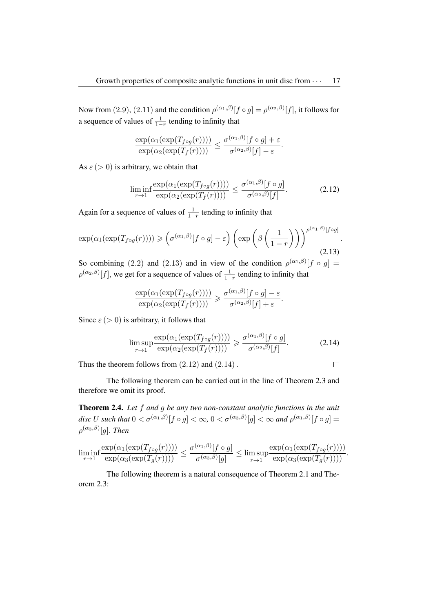Now from (2.9), (2.11) and the condition  $\rho^{(\alpha_1,\beta)}[f\circ g] = \rho^{(\alpha_2,\beta)}[f]$ , it follows for a sequence of values of  $\frac{1}{1-r}$  tending to infinity that

$$
\frac{\exp(\alpha_1(\exp(T_{f\circ g}(r))))}{\exp(\alpha_2(\exp(T_f(r))))} \leq \frac{\sigma^{(\alpha_1,\beta)}[f\circ g]+\varepsilon}{\sigma^{(\alpha_2,\beta)}[f]-\varepsilon}.
$$

As  $\varepsilon$  ( $>$  0) is arbitrary, we obtain that

$$
\liminf_{r \to 1} \frac{\exp(\alpha_1(\exp(T_{f \circ g}(r))))}{\exp(\alpha_2(\exp(T_f(r))))} \le \frac{\sigma^{(\alpha_1, \beta)}[f \circ g]}{\sigma^{(\alpha_2, \beta)}[f]}.
$$
\n(2.12)

Again for a sequence of values of  $\frac{1}{1-r}$  tending to infinity that

$$
\exp(\alpha_1(\exp(T_{f\circ g}(r)))) \geqslant \left(\sigma^{(\alpha_1,\beta)}[f\circ g]-\varepsilon\right)\left(\exp\left(\beta\left(\frac{1}{1-r}\right)\right)\right)^{\rho^{(\alpha_1,\beta)}[f\circ g]}.
$$
\n(2.13)

So combining (2.2) and (2.13) and in view of the condition  $\rho^{(\alpha_1,\beta)}[f \circ g] =$  $\rho^{(\alpha_2,\beta)}[f]$ , we get for a sequence of values of  $\frac{1}{1-r}$  tending to infinity that

$$
\frac{\exp(\alpha_1(\exp(T_{f\circ g}(r))))}{\exp(\alpha_2(\exp(T_f(r))))} \geq \frac{\sigma^{(\alpha_1,\beta)}[f\circ g]-\varepsilon}{\sigma^{(\alpha_2,\beta)}[f]+\varepsilon}.
$$

Since  $\varepsilon$  ( $>$  0) is arbitrary, it follows that

$$
\limsup_{r \to 1} \frac{\exp(\alpha_1(\exp(T_{f \circ g}(r))))}{\exp(\alpha_2(\exp(T_f(r))))} \geq \frac{\sigma^{(\alpha_1, \beta)}[f \circ g]}{\sigma^{(\alpha_2, \beta)}[f]}.
$$
\n(2.14)

Thus the theorem follows from  $(2.12)$  and  $(2.14)$ .

$$
\Box
$$

The following theorem can be carried out in the line of Theorem 2.3 and therefore we omit its proof.

Theorem 2.4. *Let* f *and* g *be any two non-constant analytic functions in the unit* disc U such that  $0<\sigma^{(\alpha_1,\beta)}[f\circ g]<\infty$ ,  $0<\sigma^{(\alpha_3,\beta)}[g]<\infty$  and  $\rho^{(\alpha_1,\beta)}[f\circ g]=$  $\rho^{(\alpha_3, \beta)}[g]$ *. Then* 

$$
\liminf_{r \to 1} \frac{\exp(\alpha_1(\exp(T_{f \circ g}(r))))}{\exp(\alpha_3(\exp(T_g(r))))} \le \frac{\sigma^{(\alpha_1, \beta)}[f \circ g]}{\sigma^{(\alpha_3, \beta)}[g]} \le \limsup_{r \to 1} \frac{\exp(\alpha_1(\exp(T_{f \circ g}(r))))}{\exp(\alpha_3(\exp(T_g(r))))}.
$$

The following theorem is a natural consequence of Theorem 2.1 and Theorem 2.3: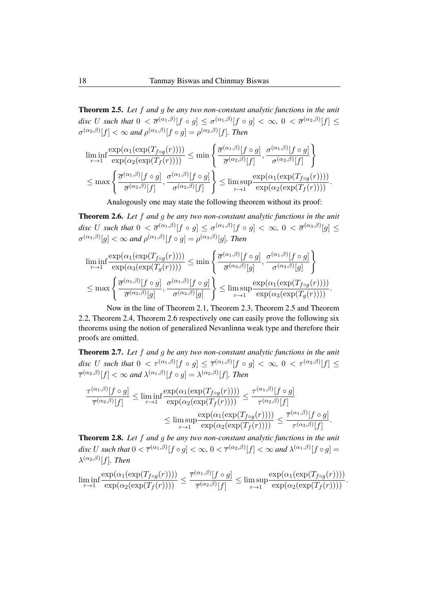Theorem 2.5. *Let* f *and* g *be any two non-constant analytic functions in the unit* disc U such that  $0 < \overline{\sigma}^{(\alpha_1,\beta)}[f\circ g] \leq \sigma^{(\alpha_1,\beta)}[f\circ g] < \infty, \ 0 < \overline{\sigma}^{(\alpha_2,\beta)}[f] \leq$  $\sigma^{(\alpha_2,\beta)}[f] < \infty$  and  $\rho^{(\alpha_1,\beta)}[f \circ g] = \rho^{(\alpha_2,\beta)}[f]$ . Then

$$
\liminf_{r \to 1} \frac{\exp(\alpha_1(\exp(T_{f \circ g}(r))))}{\exp(\alpha_2(\exp(T_f(r))))} \le \min \left\{ \frac{\overline{\sigma}^{(\alpha_1, \beta)}[f \circ g]}{\overline{\sigma}^{(\alpha_2, \beta)}[f]}, \frac{\sigma^{(\alpha_1, \beta)}[f \circ g]}{\sigma^{(\alpha_2, \beta)}[f]} \right\} \n\le \max \left\{ \frac{\overline{\sigma}^{(\alpha_1, \beta)}[f \circ g]}{\overline{\sigma}^{(\alpha_2, \beta)}[f]}, \frac{\sigma^{(\alpha_1, \beta)}[f \circ g]}{\sigma^{(\alpha_2, \beta)}[f]} \right\} \le \limsup_{r \to 1} \frac{\exp(\alpha_1(\exp(T_{f \circ g}(r))))}{\exp(\alpha_2(\exp(T_f(r))))}.
$$

Analogously one may state the following theorem without its proof:

Theorem 2.6. *Let* f *and* g *be any two non-constant analytic functions in the unit*  $disc$   $U$   $such$   $that$   $0 < \overline{\sigma}^{(\alpha_1, \beta)}[f \circ g] \leq \sigma^{(\alpha_1, \beta)}[f \circ g] < \infty$ ,  $0 < \overline{\sigma}^{(\alpha_3, \beta)}[g] \leq$  $\sigma^{(\alpha_3,\beta)}[g]<\infty$  and  $\rho^{(\alpha_1,\beta)}[f\circ g]=\rho^{(\alpha_3,\beta)}[g]$ . Then

$$
\liminf_{r \to 1} \frac{\exp(\alpha_1(\exp(T_{f \circ g}(r))))}{\exp(\alpha_3(\exp(T_g(r))))} \le \min \left\{ \frac{\overline{\sigma}^{(\alpha_1, \beta)}[f \circ g]}{\overline{\sigma}^{(\alpha_3, \beta)}[g]}, \frac{\sigma^{(\alpha_1, \beta)}[f \circ g]}{\sigma^{(\alpha_3, \beta)}[g]} \right\}
$$
\n
$$
\le \max \left\{ \frac{\overline{\sigma}^{(\alpha_1, \beta)}[f \circ g]}{\overline{\sigma}^{(\alpha_3, \beta)}[g]}, \frac{\sigma^{(\alpha_1, \beta)}[f \circ g]}{\sigma^{(\alpha_3, \beta)}[g]} \right\} \le \limsup_{r \to 1} \frac{\exp(\alpha_1(\exp(T_{f \circ g}(r))))}{\exp(\alpha_3(\exp(T_g(r))))}.
$$

Now in the line of Theorem 2.1, Theorem 2.3, Theorem 2.5 and Theorem 2.2, Theorem 2.4, Theorem 2.6 respectively one can easily prove the following six theorems using the notion of generalized Nevanlinna weak type and therefore their proofs are omitted.

Theorem 2.7. *Let* f *and* g *be any two non-constant analytic functions in the unit* disc U such that  $0 < \tau^{(\alpha_1,\beta)}[f \circ g] \leq \overline{\tau}^{(\alpha_1,\beta)}[f \circ g] < \infty, 0 < \tau^{(\alpha_2,\beta)}[f] \leq$  $\overline{\tau}^{(\alpha_2,\beta)}[f]<\infty$  and  $\lambda^{(\alpha_1,\beta)}[f\circ g]=\lambda^{(\alpha_2,\beta)}[f]$ . Then

$$
\frac{\tau^{(\alpha_1,\beta)}[f\circ g]}{\overline{\tau}^{(\alpha_2,\beta)}[f]} \le \liminf_{r\to 1} \frac{\exp(\alpha_1(\exp(T_{f\circ g}(r))))}{\exp(\alpha_2(\exp(T_f(r))))} \le \frac{\tau^{(\alpha_1,\beta)}[f\circ g]}{\tau^{(\alpha_2,\beta)}[f]} \le \limsup_{r\to 1} \frac{\exp(\alpha_1(\exp(T_{f\circ g}(r))))}{\exp(\alpha_2(\exp(T_f(r))))} \le \frac{\overline{\tau}^{(\alpha_1,\beta)}[f\circ g]}{\tau^{(\alpha_2,\beta)}[f]}.
$$

Theorem 2.8. *Let* f *and* g *be any two non-constant analytic functions in the unit* disc U such that  $0 < \overline{\tau}^{(\alpha_1,\beta)}[f\circ g] < \infty$ ,  $0 < \overline{\tau}^{(\alpha_2,\beta)}[f] < \infty$  and  $\lambda^{(\alpha_1,\beta)}[f\circ g] =$  $\lambda^{(\alpha_2,\beta)}[f]$ *. Then* 

$$
\liminf_{r \to 1} \frac{\exp(\alpha_1(\exp(T_{f \circ g}(r))))}{\exp(\alpha_2(\exp(T_f(r))))} \le \frac{\overline{\tau}^{(\alpha_1, \beta)}[f \circ g]}{\overline{\tau}^{(\alpha_2, \beta)}[f]} \le \limsup_{r \to 1} \frac{\exp(\alpha_1(\exp(T_{f \circ g}(r))))}{\exp(\alpha_2(\exp(T_f(r))))}.
$$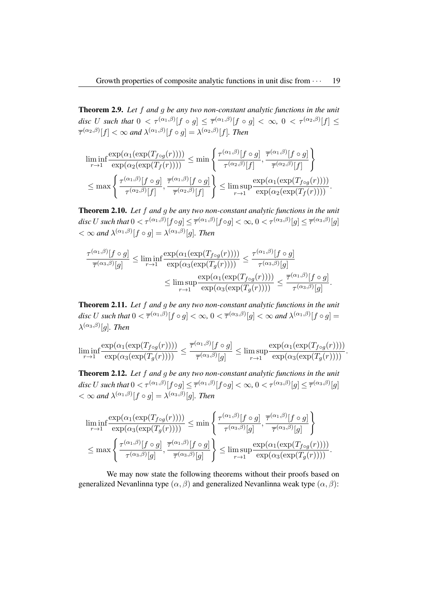Theorem 2.9. *Let* f *and* g *be any two non-constant analytic functions in the unit* disc U such that  $0 < \tau^{(\alpha_1,\beta)}[f \circ g] \leq \overline{\tau}^{(\alpha_1,\beta)}[f \circ g] < \infty, 0 < \tau^{(\alpha_2,\beta)}[f] \leq$  $\overline{\tau}^{(\alpha_2,\beta)}[f]<\infty$  and  $\lambda^{(\alpha_1,\beta)}[f\circ g]=\lambda^{(\alpha_2,\beta)}[f]$ . Then

$$
\liminf_{r \to 1} \frac{\exp(\alpha_1(\exp(T_{f \circ g}(r))))}{\exp(\alpha_2(\exp(T_f(r))))} \le \min \left\{ \frac{\tau^{(\alpha_1, \beta)}[f \circ g]}{\tau^{(\alpha_2, \beta)}[f]}, \frac{\overline{\tau}^{(\alpha_1, \beta)}[f \circ g]}{\overline{\tau}^{(\alpha_2, \beta)}[f]} \right\} \n\le \max \left\{ \frac{\tau^{(\alpha_1, \beta)}[f \circ g]}{\tau^{(\alpha_2, \beta)}[f]}, \frac{\overline{\tau}^{(\alpha_1, \beta)}[f \circ g]}{\overline{\tau}^{(\alpha_2, \beta)}[f]} \right\} \le \limsup_{r \to 1} \frac{\exp(\alpha_1(\exp(T_{f \circ g}(r))))}{\exp(\alpha_2(\exp(T_f(r))))}.
$$

Theorem 2.10. *Let* f *and* g *be any two non-constant analytic functions in the unit*  $disc\ U\ such\ that\ 0<\tau^{(\alpha_1,\beta)}[f\circ g]\leq{\overline{\tau}}^{(\alpha_1,\beta)}[f\circ g]<\infty,\ 0<\tau^{(\alpha_3,\beta)}[g]\leq{\overline{\tau}}^{(\alpha_3,\beta)}[g]$  $< \infty$  and  $\lambda^{(\alpha_1,\beta)}[f \circ g] = \lambda^{(\alpha_3,\beta)}[g]$ . Then

$$
\frac{\tau^{(\alpha_1,\beta)}[f\circ g]}{\overline{\tau}^{(\alpha_3,\beta)}[g]} \le \liminf_{r\to 1} \frac{\exp(\alpha_1(\exp(T_{f\circ g}(r))))}{\exp(\alpha_3(\exp(T_g(r))))} \le \frac{\tau^{(\alpha_1,\beta)}[f\circ g]}{\tau^{(\alpha_3,\beta)}[g]} \le \limsup_{r\to 1} \frac{\exp(\alpha_1(\exp(T_{f\circ g}(r))))}{\exp(\alpha_3(\exp(T_g(r))))} \le \frac{\overline{\tau}^{(\alpha_1,\beta)}[f\circ g]}{\tau^{(\alpha_3,\beta)}[g]}
$$

.

Theorem 2.11. *Let* f *and* g *be any two non-constant analytic functions in the unit* disc U such that  $0<\overline{\tau}^{(\alpha_1,\beta)}[f\circ g]<\infty$ ,  $0<\overline{\tau}^{(\alpha_3,\beta)}[g]<\infty$  and  $\lambda^{(\alpha_1,\beta)}[f\circ g]=0$  $\lambda^{(\alpha_3,\beta)}[g]$ *. Then* 

$$
\liminf_{r\to 1}\frac{\exp(\alpha_1(\exp(T_{f\circ g}(r))))}{\exp(\alpha_3(\exp(T_g(r))))}\leq \frac{\overline{\tau}^{(\alpha_1,\beta)}[f\circ g]}{\overline{\tau}^{(\alpha_3,\beta)}[g]}\leq \limsup_{r\to 1}\frac{\exp(\alpha_1(\exp(T_{f\circ g}(r))))}{\exp(\alpha_3(\exp(T_g(r))))}.
$$

Theorem 2.12. *Let* f *and* g *be any two non-constant analytic functions in the unit*  $disc\ U\ such\ that\ 0<\tau^{(\alpha_1,\beta)}[f\circ g]\leq\overline{\tau}^{(\alpha_1,\beta)}[f\circ g]<\infty,\ 0<\tau^{(\alpha_3,\beta)}[g]\leq\overline{\tau}^{(\alpha_3,\beta)}[g]$  $< \infty$  and  $\lambda^{(\alpha_1,\beta)}[f \circ g] = \lambda^{(\alpha_3,\beta)}[g]$ . Then

$$
\liminf_{r \to 1} \frac{\exp(\alpha_1(\exp(T_{f \circ g}(r))))}{\exp(\alpha_3(\exp(T_g(r))))} \le \min \left\{ \frac{\tau^{(\alpha_1, \beta)}[f \circ g]}{\tau^{(\alpha_3, \beta)}[g]}, \frac{\overline{\tau}^{(\alpha_1, \beta)}[f \circ g]}{\overline{\tau}^{(\alpha_3, \beta)}[g]} \right\}
$$
\n
$$
\le \max \left\{ \frac{\tau^{(\alpha_1, \beta)}[f \circ g]}{\tau^{(\alpha_3, \beta)}[g]}, \frac{\overline{\tau}^{(\alpha_1, \beta)}[f \circ g]}{\overline{\tau}^{(\alpha_3, \beta)}[g]} \right\} \le \limsup_{r \to 1} \frac{\exp(\alpha_1(\exp(T_{f \circ g}(r))))}{\exp(\alpha_3(\exp(T_g(r))))}.
$$

We may now state the following theorems without their proofs based on generalized Nevanlinna type  $(\alpha, \beta)$  and generalized Nevanlinna weak type  $(\alpha, \beta)$ :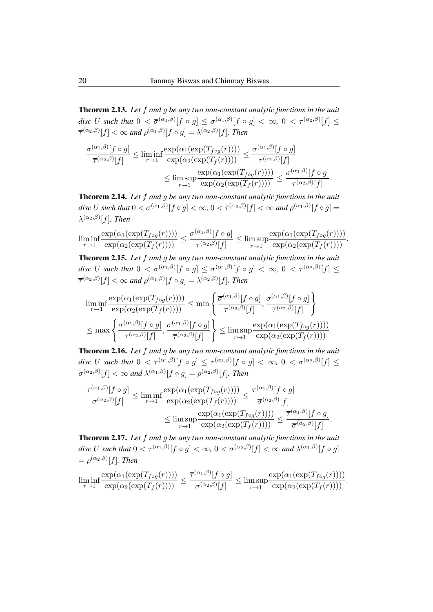Theorem 2.13. *Let* f *and* g *be any two non-constant analytic functions in the unit* disc U such that  $0 < \overline{\sigma}^{(\alpha_1,\beta)}[f \circ g] \leq \sigma^{(\alpha_1,\beta)}[f \circ g] < \infty$ ,  $0 < \tau^{(\alpha_2,\beta)}[f] \leq$  $\overline{\tau}^{(\alpha_2,\beta)}[f]<\infty$  and  $\rho^{(\alpha_1,\beta)}[f\circ g]=\lambda^{(\alpha_2,\beta)}[f]$ . Then

$$
\frac{\overline{\sigma}^{(\alpha_1,\beta)}[f \circ g]}{\overline{\tau}^{(\alpha_2,\beta)}[f]} \le \liminf_{r \to 1} \frac{\exp(\alpha_1(\exp(T_{f \circ g}(r))))}{\exp(\alpha_2(\exp(T_f(r))))} \le \frac{\overline{\sigma}^{(\alpha_1,\beta)}[f \circ g]}{\tau^{(\alpha_2,\beta)}[f]} \n\le \limsup_{r \to 1} \frac{\exp(\alpha_1(\exp(T_{f \circ g}(r))))}{\exp(\alpha_2(\exp(T_f(r))))} \le \frac{\sigma^{(\alpha_1,\beta)}[f \circ g]}{\tau^{(\alpha_2,\beta)}[f]}
$$

.

Theorem 2.14. *Let* f *and* g *be any two non-constant analytic functions in the unit* disc U such that  $0 < \sigma^{(\alpha_1, \beta)}[f \circ g] < \infty$ ,  $0 < \overline{\tau}^{(\alpha_2, \beta)}[f] < \infty$  and  $\rho^{(\alpha_1, \beta)}[f \circ g] =$  $\lambda^{(\alpha_2,\beta)}[f]$ *. Then* 

$$
\liminf_{r\to 1}\frac{\exp(\alpha_1(\exp(T_{f\circ g}(r))))}{\exp(\alpha_2(\exp(T_f(r))))}\leq \frac{\sigma^{(\alpha_1,\beta)}[f\circ g]}{\overline{\tau}^{(\alpha_2,\beta)}[f]}\leq \limsup_{r\to 1}\frac{\exp(\alpha_1(\exp(T_{f\circ g}(r))))}{\exp(\alpha_2(\exp(T_f(r))))}.
$$

Theorem 2.15. *Let* f *and* g *be any two non-constant analytic functions in the unit* disc U such that  $0 < \overline{\sigma}^{(\alpha_1,\beta)}[f \circ g] \leq \sigma^{(\alpha_1,\beta)}[f \circ g] < \infty$ ,  $0 < \tau^{(\alpha_2,\beta)}[f] \leq$  $\overline{\tau}^{(\alpha_2,\beta)}[f]<\infty$  and  $\rho^{(\alpha_1,\beta)}[f\circ g]=\lambda^{(\alpha_2,\beta)}[f]$ . Then

$$
\liminf_{r\to 1}\frac{\exp(\alpha_1(\exp(T_{f\circ g}(r))))}{\exp(\alpha_2(\exp(T_f(r))))} \le \min\left\{\frac{\overline{\sigma}^{(\alpha_1,\beta)}[f\circ g]}{\tau^{(\alpha_2,\beta)}[f]},\frac{\sigma^{(\alpha_1,\beta)}[f\circ g]}{\overline{\tau}^{(\alpha_2,\beta)}[f]}\right\} \n\le \max\left\{\frac{\overline{\sigma}^{(\alpha_1,\beta)}[f\circ g]}{\tau^{(\alpha_2,\beta)}[f]},\frac{\sigma^{(\alpha_1,\beta)}[f\circ g]}{\overline{\tau}^{(\alpha_2,\beta)}[f]}\right\} \le \limsup_{r\to 1}\frac{\exp(\alpha_1(\exp(T_{f\circ g}(r))))}{\exp(\alpha_2(\exp(T_f(r))))}.
$$

Theorem 2.16. *Let* f *and* g *be any two non-constant analytic functions in the unit* disc U such that  $0 < \tau^{(\alpha_1,\beta)}[f \circ g] \leq \overline{\tau}^{(\alpha_1,\beta)}[f \circ g] < \infty, 0 < \overline{\sigma}^{(\alpha_2,\beta)}[f] \leq$  $\sigma^{(\alpha_2,\beta)}[f] < \infty$  and  $\lambda^{(\alpha_1,\beta)}[f \circ g] = \rho^{(\alpha_2,\beta)}[f]$ . Then

$$
\frac{\tau^{(\alpha_1,\beta)}[f\circ g]}{\sigma^{(\alpha_2,\beta)}[f]} \le \liminf_{r\to 1} \frac{\exp(\alpha_1(\exp(T_{f\circ g}(r))))}{\exp(\alpha_2(\exp(T_f(r))))} \le \frac{\tau^{(\alpha_1,\beta)}[f\circ g]}{\overline{\sigma}^{(\alpha_2,\beta)}[f]} \le \limsup_{r\to 1} \frac{\exp(\alpha_1(\exp(T_{f\circ g}(r))))}{\exp(\alpha_2(\exp(T_f(r))))} \le \frac{\overline{\tau}^{(\alpha_1,\beta)}[f\circ g]}{\overline{\sigma}^{(\alpha_2,\beta)}[f]}.
$$

Theorem 2.17. *Let* f *and* g *be any two non-constant analytic functions in the unit* disc U such that  $0<\overline{\tau}^{(\alpha_1,\beta)}[f\circ g]<\infty$ ,  $0<\sigma^{(\alpha_2,\beta)}[f]<\infty$  and  $\lambda^{(\alpha_1,\beta)}[f\circ g]$  $= \rho^{(\alpha_2,\beta)}[f]$ *. Then* 

$$
\liminf_{r\to 1}\frac{\exp(\alpha_1(\exp(T_{f\circ g}(r))))}{\exp(\alpha_2(\exp(T_f(r))))}\leq \frac{\overline{\tau}^{(\alpha_1,\beta)}[f\circ g]}{\sigma^{(\alpha_2,\beta)}[f]}\leq \limsup_{r\to 1}\frac{\exp(\alpha_1(\exp(T_{f\circ g}(r))))}{\exp(\alpha_2(\exp(T_f(r))))}.
$$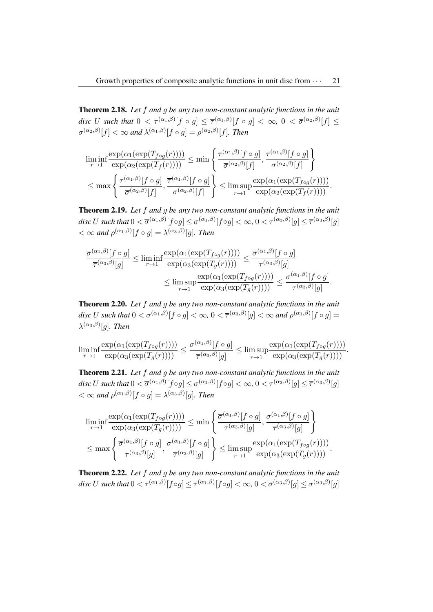Theorem 2.18. *Let* f *and* g *be any two non-constant analytic functions in the unit* disc U such that  $0 < \tau^{(\alpha_1,\beta)}[f\circ g] \leq \overline{\tau}^{(\alpha_1,\beta)}[f\circ g] < \infty, \ 0 < \overline{\sigma}^{(\alpha_2,\beta)}[f] \leq$  $\sigma^{(\alpha_2,\beta)}[f] < \infty$  and  $\lambda^{(\alpha_1,\beta)}[f \circ g] = \rho^{(\alpha_2,\beta)}[f]$ . Then

$$
\liminf_{r \to 1} \frac{\exp(\alpha_1(\exp(T_{f \circ g}(r))))}{\exp(\alpha_2(\exp(T_f(r))))} \le \min \left\{ \frac{\tau^{(\alpha_1, \beta)}[f \circ g]}{\overline{\sigma}^{(\alpha_2, \beta)}[f]}, \frac{\overline{\tau}^{(\alpha_1, \beta)}[f \circ g]}{\sigma^{(\alpha_2, \beta)}[f]} \right\} \n\le \max \left\{ \frac{\tau^{(\alpha_1, \beta)}[f \circ g]}{\overline{\sigma}^{(\alpha_2, \beta)}[f]}, \frac{\overline{\tau}^{(\alpha_1, \beta)}[f \circ g]}{\sigma^{(\alpha_2, \beta)}[f]} \right\} \le \limsup_{r \to 1} \frac{\exp(\alpha_1(\exp(T_{f \circ g}(r))))}{\exp(\alpha_2(\exp(T_f(r))))}.
$$

Theorem 2.19. *Let* f *and* g *be any two non-constant analytic functions in the unit*  $disc\ U\ such\ that\ 0<\overline{\sigma}^{(\alpha_1,\beta)}[f\circ g]\leq \sigma^{(\alpha_1,\beta)}[f\circ g]<\infty,\ 0<\tau^{(\alpha_3,\beta)}[g]\leq \overline{\tau}^{(\alpha_3,\beta)}[g]$  $< \infty$  and  $\rho^{(\alpha_1,\beta)}[f \circ g] = \lambda^{(\alpha_3,\beta)}[g]$ . Then

$$
\frac{\overline{\sigma}^{(\alpha_1,\beta)}[f\circ g]}{\overline{\tau}^{(\alpha_3,\beta)}[g]} \le \liminf_{r\to 1} \frac{\exp(\alpha_1(\exp(T_{f\circ g}(r))))}{\exp(\alpha_3(\exp(T_g(r))))} \le \frac{\overline{\sigma}^{(\alpha_1,\beta)}[f\circ g]}{\tau^{(\alpha_3,\beta)}[g]}\le \limsup_{r\to 1} \frac{\exp(\alpha_1(\exp(T_{f\circ g}(r))))}{\exp(\alpha_3(\exp(T_g(r))))} \le \frac{\sigma^{(\alpha_1,\beta)}[f\circ g]}{\tau^{(\alpha_3,\beta)}[g]}
$$

.

Theorem 2.20. *Let* f *and* g *be any two non-constant analytic functions in the unit* disc U such that  $0<\sigma^{(\alpha_1,\beta)}[f\circ g]<\infty$ ,  $0<\overline{\tau}^{(\alpha_3,\beta)}[g]<\infty$  and  $\rho^{(\alpha_1,\beta)}[f\circ g]=$  $\lambda^{(\alpha_3,\beta)}[g]$ *. Then* 

$$
\liminf_{r \to 1} \frac{\exp(\alpha_1(\exp(T_{f \circ g}(r))))}{\exp(\alpha_3(\exp(T_g(r))))} \le \frac{\sigma^{(\alpha_1, \beta)}[f \circ g]}{\overline{\tau}^{(\alpha_3, \beta)}[g]} \le \limsup_{r \to 1} \frac{\exp(\alpha_1(\exp(T_{f \circ g}(r))))}{\exp(\alpha_3(\exp(T_g(r))))}.
$$

Theorem 2.21. *Let* f *and* g *be any two non-constant analytic functions in the unit*  $disc\ U\ such\ that\ 0<\overline{\sigma}^{(\alpha_1,\beta)}[f\circ g]\leq \sigma^{(\alpha_1,\beta)}[f\circ g]<\infty,\ 0<\tau^{(\alpha_3,\beta)}[g]\leq \overline{\tau}^{(\alpha_3,\beta)}[g]$  $< \infty$  and  $\rho^{(\alpha_1,\beta)}[f \circ g] = \lambda^{(\alpha_3,\beta)}[g]$ . Then

$$
\liminf_{r \to 1} \frac{\exp(\alpha_1(\exp(T_{f \circ g}(r))))}{\exp(\alpha_3(\exp(T_g(r))))} \le \min \left\{ \frac{\overline{\sigma}^{(\alpha_1, \beta)}[f \circ g]}{\tau^{(\alpha_3, \beta)}[g]}, \frac{\sigma^{(\alpha_1, \beta)}[f \circ g]}{\overline{\tau}^{(\alpha_3, \beta)}[g]} \right\}
$$
\n
$$
\le \max \left\{ \frac{\overline{\sigma}^{(\alpha_1, \beta)}[f \circ g]}{\tau^{(\alpha_3, \beta)}[g]}, \frac{\sigma^{(\alpha_1, \beta)}[f \circ g]}{\overline{\tau}^{(\alpha_3, \beta)}[g]} \right\} \le \limsup_{r \to 1} \frac{\exp(\alpha_1(\exp(T_{f \circ g}(r))))}{\exp(\alpha_3(\exp(T_g(r))))}.
$$

Theorem 2.22. *Let* f *and* g *be any two non-constant analytic functions in the unit*  $disc\ U\ such\ that\ 0<\tau^{(\alpha_1,\beta)}[f\circ g]\leq\overline{\tau}^{(\alpha_1,\beta)}[f\circ g]<\infty,\ 0<\overline{\sigma}^{(\alpha_3,\beta)}[g]\leq\sigma^{(\alpha_3,\beta)}[g]$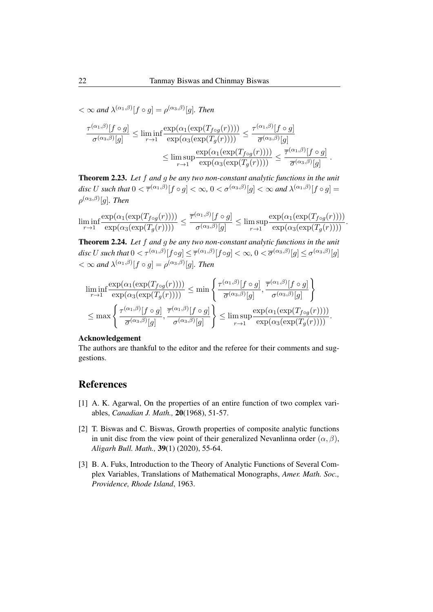$< \infty$  and  $\lambda^{(\alpha_1,\beta)}[f \circ g] = \rho^{(\alpha_3,\beta)}[g]$ *. Then* 

$$
\frac{\tau^{(\alpha_1,\beta)}[f\circ g]}{\sigma^{(\alpha_3,\beta)}[g]} \le \liminf_{r\to 1} \frac{\exp(\alpha_1(\exp(T_{f\circ g}(r))))}{\exp(\alpha_3(\exp(T_g(r))))} \le \frac{\tau^{(\alpha_1,\beta)}[f\circ g]}{\overline{\sigma}^{(\alpha_3,\beta)}[g]} \le \limsup_{r\to 1} \frac{\exp(\alpha_1(\exp(T_{f\circ g}(r))))}{\exp(\alpha_3(\exp(T_g(r))))} \le \frac{\overline{\tau}^{(\alpha_1,\beta)}[f\circ g]}{\overline{\sigma}^{(\alpha_3,\beta)}[g]}.
$$

Theorem 2.23. *Let* f *and* g *be any two non-constant analytic functions in the unit* disc U such that  $0 < \overline{\tau}^{(\alpha_1, \beta)}[f \circ g] < \infty$ ,  $0 < \sigma^{(\alpha_3, \beta)}[g] < \infty$  and  $\lambda^{(\alpha_1, \beta)}[f \circ g] =$  $\rho^{(\alpha_3, \beta)}[g]$ *. Then* 

 $\liminf_{r\to 1}$  $\frac{\exp(\alpha_1(\exp(T_{f \circ g}(r))))}{\exp(\alpha_3(\exp(T_g(r))))} \leq \frac{\overline{\tau}^{(\alpha_1,\beta)}[f \circ g]}{\sigma^{(\alpha_3,\beta)}[g]}$  $\frac{g}{\sigma^{(\alpha_3,\beta)}[g]} \leq \limsup_{r\to 1}$  $r\rightarrow 1$  $\frac{\exp(\alpha_1(\exp(T_{f \circ g}(r))))}{\exp(\alpha_3(\exp(T_g(r))))}.$ 

Theorem 2.24. *Let* f *and* g *be any two non-constant analytic functions in the unit*  $disc\ U\ such\ that\ 0<\tau^{(\alpha_1,\beta)}[f\circ g]\leq\overline{\tau}^{(\alpha_1,\beta)}[f\circ g]<\infty,\ 0<\overline{\sigma}^{(\alpha_3,\beta)}[g]\leq\sigma^{(\alpha_3,\beta)}[g]$  $< \infty$  and  $\lambda^{(\alpha_1,\beta)}[f \circ g] = \rho^{(\alpha_3,\beta)}[g]$ *. Then* 

$$
\liminf_{r \to 1} \frac{\exp(\alpha_1(\exp(T_{f \circ g}(r))))}{\exp(\alpha_3(\exp(T_g(r))))} \le \min \left\{ \frac{\tau^{(\alpha_1, \beta)}[f \circ g]}{\overline{\sigma}^{(\alpha_3, \beta)}[g]}, \frac{\overline{\tau}^{(\alpha_1, \beta)}[f \circ g]}{\sigma^{(\alpha_3, \beta)}[g]} \right\}
$$
\n
$$
\le \max \left\{ \frac{\tau^{(\alpha_1, \beta)}[f \circ g]}{\overline{\sigma}^{(\alpha_3, \beta)}[g]}, \frac{\overline{\tau}^{(\alpha_1, \beta)}[f \circ g]}{\sigma^{(\alpha_3, \beta)}[g]} \right\} \le \limsup_{r \to 1} \frac{\exp(\alpha_1(\exp(T_{f \circ g}(r))))}{\exp(\alpha_3(\exp(T_g(r))))}.
$$

#### Acknowledgement

The authors are thankful to the editor and the referee for their comments and suggestions.

## References

- [1] A. K. Agarwal, On the properties of an entire function of two complex variables, *Canadian J. Math.,* 20(1968), 51-57.
- [2] T. Biswas and C. Biswas, Growth properties of composite analytic functions in unit disc from the view point of their generalized Nevanlinna order  $(\alpha, \beta)$ , *Aligarh Bull. Math.,* 39(1) (2020), 55-64.
- [3] B. A. Fuks, Introduction to the Theory of Analytic Functions of Several Complex Variables, Translations of Mathematical Monographs, *Amer. Math. Soc., Providence, Rhode Island*, 1963.